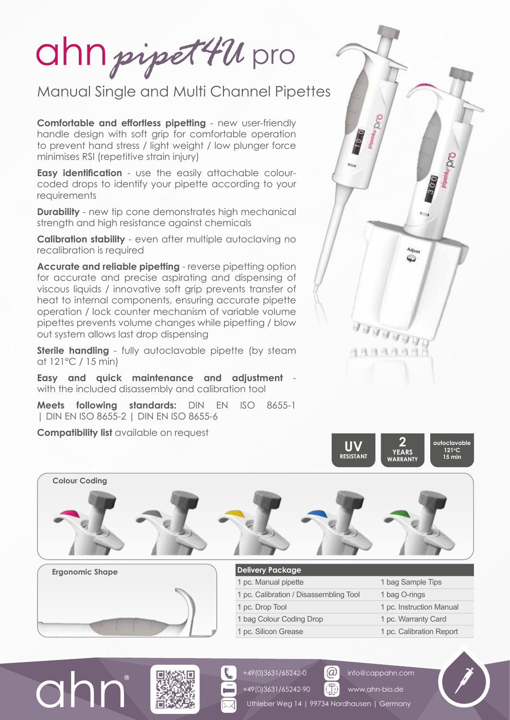ahn pipet 421 pro

## Manual Single and Multi Channel Pipettes

**Comfortable and effortless pipetting** - new user-friendly handle design with soft grip for comfortable operation to prevent hand stress / light weight / low plunger force minimises RSI (repetitive strain injury)

**Easy identification** - use the easily attachable colourcoded drops to identify your pipette according to your requirements

**Durability** - new tip cone demonstrates high mechanical strength and high resistance against chemicals

**Calibration stability** - even after multiple autoclaving no recalibration is required

**Accurate and reliable pipetting** - reverse pipetting option for accurate and precise aspirating and dispensing of viscous liquids / innovative soft grip prevents transfer of heat to internal components, ensuring accurate pipette operation / lock counter mechanism of variable volume pipettes prevents volume changes while pipetting / blow out system allows last drop dispensing

**Sterile handling** - fully autoclavable pipette (by steam at 121°C / 15 min)

**Easy and quick maintenance and adjustment**  with the included disassembly and calibration tool

**Meets following standards:** DIN EN ISO 8655-1 | DIN EN ISO 8655-2 | DIN EN ISO 8655-6

**Compatibility list** available on request



**2 YEARS WARRANTY**

**autoclavable 121oC 15 min**



+49(0)3631/65242-0 +49(0)3631/65242-90

| 1 pc. Manual pipette                   | 1 bag Sample Tips        |
|----------------------------------------|--------------------------|
| 1 pc. Calibration / Disassembling Tool | 1 bag O-rings            |
| 1 pc. Drop Tool                        | 1 pc. Instruction Manual |
| 1 bag Colour Coding Drop               | 1 pc. Warranty Card      |
| 1 pc. Silicon Grease                   | 1 pc. Calibration Report |

**UV RESISTANT**

Uthleber Weg 14 | 99734 Nordhausen | Germany

 $\circledR$ 帶

info@cappahn.com www.ahn-bio.de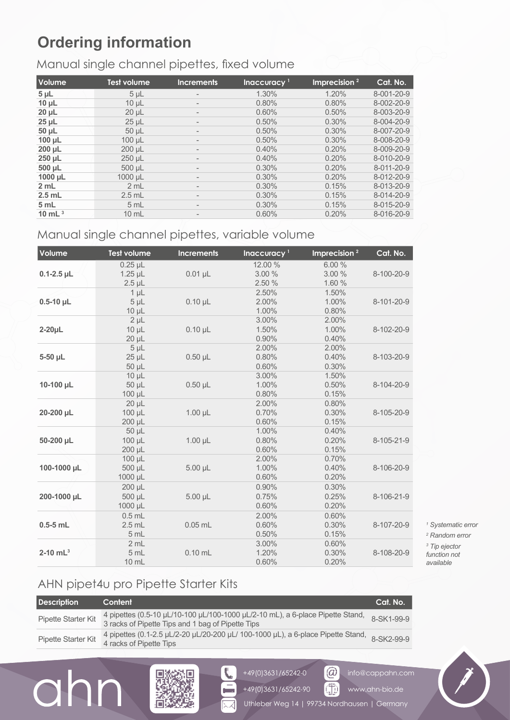# **Ordering information**

#### Manual single channel pipettes, fixed volume

| Volume       | <b>Test volume</b> | <b>Increments</b>        | Inaccuracy <sup>1</sup> | Imprecision $2$ | Cat. No.   |
|--------------|--------------------|--------------------------|-------------------------|-----------------|------------|
| $5 \mu L$    | $5 \mu L$          |                          | 1.30%                   | 1.20%           | 8-001-20-9 |
| $10 \mu L$   | $10 \mu L$         | $\qquad \qquad =$        | 0.80%                   | 0.80%           | 8-002-20-9 |
| $20 \mu L$   | 20 µL              |                          | 0.60%                   | 0.50%           | 8-003-20-9 |
| $25 \mu L$   | $25 \mu L$         | $\overline{\phantom{0}}$ | 0.50%                   | 0.30%           | 8-004-20-9 |
| $50 \mu L$   | $50 \mu L$         |                          | 0.50%                   | 0.30%           | 8-007-20-9 |
| $100 \mu L$  | $100 \mu L$        | -                        | 0.50%                   | 0.30%           | 8-008-20-9 |
| $200 \mu L$  | 200 µL             | -                        | 0.40%                   | 0.20%           | 8-009-20-9 |
| $250 \mu L$  | 250 µL             |                          | 0.40%                   | 0.20%           | 8-010-20-9 |
| 500 µL       | 500 µL             | $\qquad \qquad =$        | 0.30%                   | 0.20%           | 8-011-20-9 |
| $1000 \mu L$ | 1000 µL            |                          | 0.30%                   | 0.20%           | 8-012-20-9 |
| 2 mL         | 2 mL               | $\overline{\phantom{0}}$ | 0.30%                   | 0.15%           | 8-013-20-9 |
| $2.5$ mL     | $2.5$ mL           | $\overline{\phantom{0}}$ | 0.30%                   | 0.15%           | 8-014-20-9 |
| 5 mL         | 5 mL               |                          | 0.30%                   | 0.15%           | 8-015-20-9 |
| 10 mL $3$    | $10 \text{ mL}$    |                          | 0.60%                   | 0.20%           | 8-016-20-9 |

#### Manual single channel pipettes, variable volume

| Volume                 | <b>Test volume</b> | <b>Increments</b> | Inaccuracy <sup>1</sup> | Imprecision <sup>2</sup> | Cat. No.   |
|------------------------|--------------------|-------------------|-------------------------|--------------------------|------------|
|                        | $0.25$ µL          |                   | 12.00 %                 | 6.00 %                   |            |
| $0.1 - 2.5$ µL         | $1.25$ µL          | $0.01$ µL         | 3.00 %                  | 3.00 %                   | 8-100-20-9 |
|                        | $2.5$ $\mu$ L      |                   | 2.50 %                  | 1.60 %                   |            |
|                        | $1\mu$             |                   | 2.50%                   | 1.50%                    |            |
| $0.5 - 10$ µL          | $5 \mu L$          | $0.10 \mu L$      | 2.00%                   | 1.00%                    | 8-101-20-9 |
|                        | $10 \mu L$         |                   | 1.00%                   | 0.80%                    |            |
|                        | $2 \mu L$          |                   | 3.00%                   | 2.00%                    |            |
| $2-20\mu L$            | $10 \mu L$         | $0.10 \mu L$      | 1.50%                   | 1.00%                    | 8-102-20-9 |
|                        | $20 \mu L$         |                   | 0.90%                   | 0.40%                    |            |
|                        | $5 \mu L$          |                   | 2.00%                   | 2.00%                    |            |
| 5-50 µL                | $25$ $\mu$ L       | $0.50$ $\mu$ L    | 0.80%                   | 0.40%                    | 8-103-20-9 |
|                        | 50 µL              |                   | 0.60%                   | 0.30%                    |            |
|                        | $10 \mu L$         |                   | 3.00%                   | 1.50%                    |            |
| 10-100 µL              | 50 µL              | $0.50$ µL         | 1.00%                   | 0.50%                    | 8-104-20-9 |
|                        | 100 µL             |                   | 0.80%                   | 0.15%                    |            |
|                        | $20 \mu L$         |                   | 2.00%                   | 0.80%                    |            |
| 20-200 µL              | 100 µL             | $1.00 \mu L$      | 0.70%                   | 0.30%                    | 8-105-20-9 |
|                        | 200 µL             |                   | 0.60%                   | 0.15%                    |            |
|                        | 50 µL              |                   | 1.00%                   | 0.40%                    |            |
| 50-200 µL              | 100 µL             | $1.00 \mu L$      | 0.80%                   | 0.20%                    | 8-105-21-9 |
|                        | 200 µL             |                   | 0.60%                   | 0.15%                    |            |
|                        | 100 µL             |                   | 2.00%                   | 0.70%                    |            |
| 100-1000 µL            | 500 µL             | $5.00 \mu L$      | 1.00%                   | 0.40%                    | 8-106-20-9 |
|                        | 1000 µL            |                   | 0.60%                   | 0.20%                    |            |
|                        | 200 µL             |                   | 0.90%                   | 0.30%                    |            |
| 200-1000 µL            | 500 µL             | $5.00 \mu L$      | 0.75%                   | 0.25%                    | 8-106-21-9 |
|                        | 1000 µL            |                   | 0.60%                   | 0.20%                    |            |
|                        | $0.5$ mL           |                   | 2.00%                   | 0.60%                    |            |
| $0.5-5$ mL             | $2.5$ mL           | $0.05$ mL         | 0.60%                   | 0.30%                    | 8-107-20-9 |
|                        | 5 mL               |                   | 0.50%                   | 0.15%                    |            |
|                        | 2 mL               |                   | 3.00%                   | 0.60%                    |            |
| $2-10$ mL <sup>3</sup> | 5 mL               | $0.10$ mL         | 1.20%                   | 0.30%                    | 8-108-20-9 |
|                        | 10 mL              |                   | 0.60%                   | 0.20%                    |            |

  *Systematic error Random error Tip ejector function not* 

*available*

## AHN pipet4u pro Pipette Starter Kits

 $\overline{O}$ 

| <b>Description</b>  | Content                                                                                                                             | Cat. No.   |
|---------------------|-------------------------------------------------------------------------------------------------------------------------------------|------------|
| Pipette Starter Kit | 4 pipettes (0.5-10 µL/10-100 µL/100-1000 µL/2-10 mL), a 6-place Pipette Stand,<br>3 racks of Pipette Tips and 1 bag of Pipette Tips | 8-SK1-99-9 |
| Pipette Starter Kit | 4 pipettes (0.1-2.5 µL/2-20 µL/20-200 µL/ 100-1000 µL), a 6-place Pipette Stand, 8-SK2-99-9<br>4 racks of Pipette Tips              |            |





+49(0)3631/65242-0

GD www.ahn-bio.de

info@cappahn.com



 $(\widehat{\omega})$